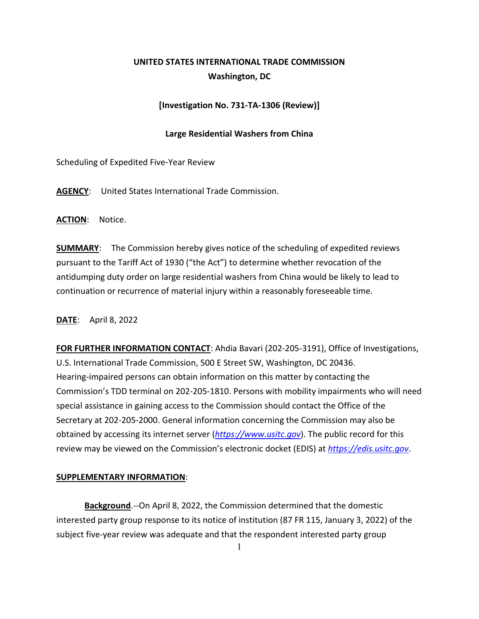# **UNITED STATES INTERNATIONAL TRADE COMMISSION Washington, DC**

# **[Investigation No. 731-TA-1306 (Review)]**

# **Large Residential Washers from China**

Scheduling of Expedited Five-Year Review

**AGENCY**: United States International Trade Commission.

**ACTION**: Notice.

**SUMMARY**: The Commission hereby gives notice of the scheduling of expedited reviews pursuant to the Tariff Act of 1930 ("the Act") to determine whether revocation of the antidumping duty order on large residential washers from China would be likely to lead to continuation or recurrence of material injury within a reasonably foreseeable time.

### **DATE**: April 8, 2022

**FOR FURTHER INFORMATION CONTACT**: Ahdia Bavari (202-205-3191), Office of Investigations, U.S. International Trade Commission, 500 E Street SW, Washington, DC 20436. Hearing-impaired persons can obtain information on this matter by contacting the Commission's TDD terminal on 202-205-1810. Persons with mobility impairments who will need special assistance in gaining access to the Commission should contact the Office of the Secretary at 202-205-2000. General information concerning the Commission may also be obtained by accessing its internet server (*[https://www.usitc.gov](https://www.usitc.gov/)*). The public record for this review may be viewed on the Commission's electronic docket (EDIS) at *[https://edis.usitc.gov](https://edis.usitc.gov/)*.

### **SUPPLEMENTARY INFORMATION**:

**Background**.--On April 8, 2022, the Commission determined that the domestic interested party group response to its notice of institution (87 FR 115, January 3, 2022) of the subject five-year review was adequate and that the respondent interested party group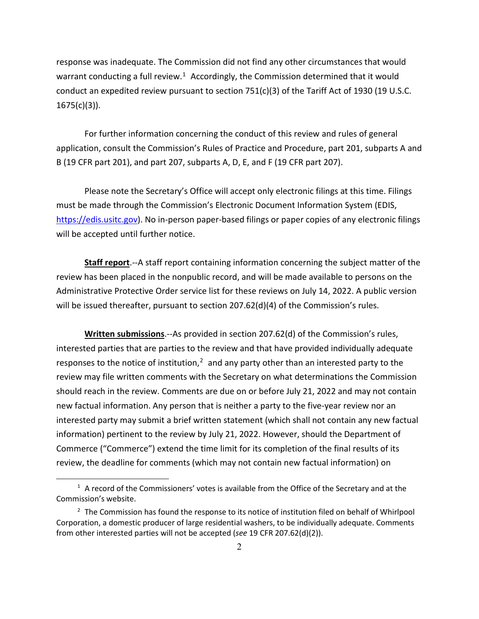response was inadequate. The Commission did not find any other circumstances that would warrant conducting a full review.<sup>1</sup> Accordingly, the Commission determined that it would conduct an expedited review pursuant to section  $751(c)(3)$  of the Tariff Act of 1930 (19 U.S.C.  $1675(c)(3)$ ).

For further information concerning the conduct of this review and rules of general application, consult the Commission's Rules of Practice and Procedure, part 201, subparts A and B (19 CFR part 201), and part 207, subparts A, D, E, and F (19 CFR part 207).

Please note the Secretary's Office will accept only electronic filings at this time. Filings must be made through the Commission's Electronic Document Information System (EDIS, [https://edis.usitc.gov\)](https://edis.usitc.gov/). No in-person paper-based filings or paper copies of any electronic filings will be accepted until further notice.

**Staff report**.--A staff report containing information concerning the subject matter of the review has been placed in the nonpublic record, and will be made available to persons on the Administrative Protective Order service list for these reviews on July 14, 2022. A public version will be issued thereafter, pursuant to section 207.62(d)(4) of the Commission's rules.

**Written submissions**.--As provided in section 207.62(d) of the Commission's rules, interested parties that are parties to the review and that have provided individually adequate responses to the notice of institution, $<sup>2</sup>$  $<sup>2</sup>$  $<sup>2</sup>$  and any party other than an interested party to the</sup> review may file written comments with the Secretary on what determinations the Commission should reach in the review. Comments are due on or before July 21, 2022 and may not contain new factual information. Any person that is neither a party to the five-year review nor an interested party may submit a brief written statement (which shall not contain any new factual information) pertinent to the review by July 21, 2022. However, should the Department of Commerce ("Commerce") extend the time limit for its completion of the final results of its review, the deadline for comments (which may not contain new factual information) on

<span id="page-1-0"></span> $1$  A record of the Commissioners' votes is available from the Office of the Secretary and at the Commission's website.

<span id="page-1-1"></span> $2$  The Commission has found the response to its notice of institution filed on behalf of Whirlpool Corporation, a domestic producer of large residential washers, to be individually adequate. Comments from other interested parties will not be accepted (*see* 19 CFR 207.62(d)(2)).